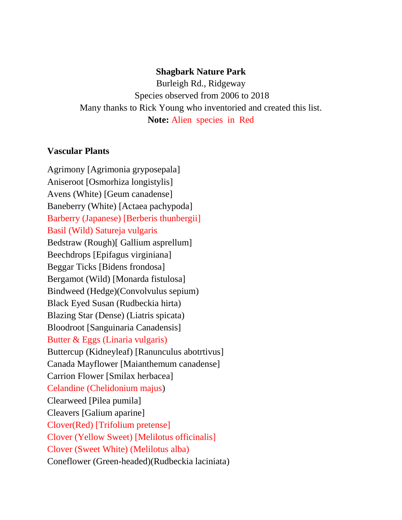#### **Shagbark Nature Park**

Burleigh Rd., Ridgeway Species observed from 2006 to 2018 Many thanks to Rick Young who inventoried and created this list. **Note:** Alien species in Red

#### **Vascular Plants**

Agrimony [Agrimonia gryposepala] Aniseroot [Osmorhiza longistylis] Avens (White) [Geum canadense] Baneberry (White) [Actaea pachypoda] Barberry (Japanese) [Berberis thunbergii] Basil (Wild) Satureja vulgaris Bedstraw (Rough)[ Gallium asprellum] Beechdrops [Epifagus virginiana] Beggar Ticks [Bidens frondosa] Bergamot (Wild) [Monarda fistulosa] Bindweed (Hedge)(Convolvulus sepium) Black Eyed Susan (Rudbeckia hirta) Blazing Star (Dense) (Liatris spicata) Bloodroot [Sanguinaria Canadensis] Butter & Eggs (Linaria vulgaris) Buttercup (Kidneyleaf) [Ranunculus abotrtivus] Canada Mayflower [Maianthemum canadense] Carrion Flower [Smilax herbacea] Celandine (Chelidonium majus) Clearweed [Pilea pumila] Cleavers [Galium aparine] Clover(Red) [Trifolium pretense] Clover (Yellow Sweet) [Melilotus officinalis] Clover (Sweet White) (Melilotus alba) Coneflower (Green-headed)(Rudbeckia laciniata)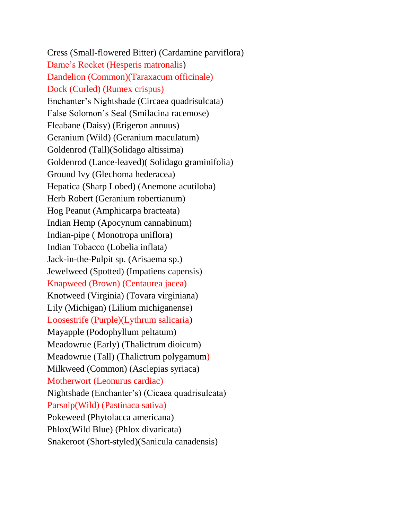Cress (Small-flowered Bitter) (Cardamine parviflora) Dame's Rocket (Hesperis matronalis) Dandelion (Common)(Taraxacum officinale) Dock (Curled) (Rumex crispus) Enchanter's Nightshade (Circaea quadrisulcata) False Solomon's Seal (Smilacina racemose) Fleabane (Daisy) (Erigeron annuus) Geranium (Wild) (Geranium maculatum) Goldenrod (Tall)(Solidago altissima) Goldenrod (Lance-leaved)( Solidago graminifolia) Ground Ivy (Glechoma hederacea) Hepatica (Sharp Lobed) (Anemone acutiloba) Herb Robert (Geranium robertianum) Hog Peanut (Amphicarpa bracteata) Indian Hemp (Apocynum cannabinum) Indian-pipe ( Monotropa uniflora) Indian Tobacco (Lobelia inflata) Jack-in-the-Pulpit sp. (Arisaema sp.) Jewelweed (Spotted) (Impatiens capensis) Knapweed (Brown) (Centaurea jacea) Knotweed (Virginia) (Tovara virginiana) Lily (Michigan) (Lilium michiganense) Loosestrife (Purple)(Lythrum salicaria) Mayapple (Podophyllum peltatum) Meadowrue (Early) (Thalictrum dioicum) Meadowrue (Tall) (Thalictrum polygamum) Milkweed (Common) (Asclepias syriaca) Motherwort (Leonurus cardiac) Nightshade (Enchanter's) (Cicaea quadrisulcata) Parsnip(Wild) (Pastinaca sativa) Pokeweed (Phytolacca americana) Phlox(Wild Blue) (Phlox divaricata) Snakeroot (Short-styled)(Sanicula canadensis)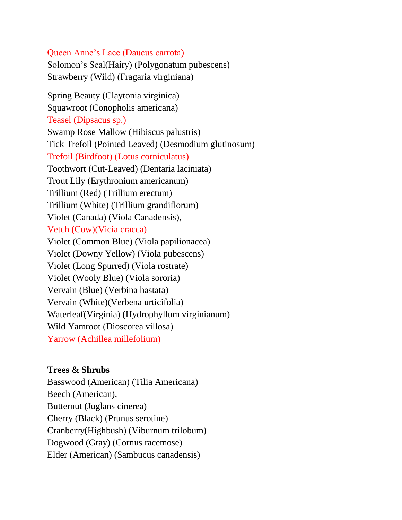### Queen Anne's Lace (Daucus carrota)

Solomon's Seal(Hairy) (Polygonatum pubescens) Strawberry (Wild) (Fragaria virginiana)

Spring Beauty (Claytonia virginica) Squawroot (Conopholis americana) Teasel (Dipsacus sp.) Swamp Rose Mallow (Hibiscus palustris) Tick Trefoil (Pointed Leaved) (Desmodium glutinosum) Trefoil (Birdfoot) (Lotus corniculatus) Toothwort (Cut-Leaved) (Dentaria laciniata) Trout Lily (Erythronium americanum) Trillium (Red) (Trillium erectum) Trillium (White) (Trillium grandiflorum) Violet (Canada) (Viola Canadensis), Vetch (Cow)(Vicia cracca) Violet (Common Blue) (Viola papilionacea) Violet (Downy Yellow) (Viola pubescens) Violet (Long Spurred) (Viola rostrate) Violet (Wooly Blue) (Viola sororia) Vervain (Blue) (Verbina hastata) Vervain (White)(Verbena urticifolia) Waterleaf(Virginia) (Hydrophyllum virginianum) Wild Yamroot (Dioscorea villosa) Yarrow (Achillea millefolium)

# **Trees & Shrubs**

Basswood (American) (Tilia Americana) Beech (American), Butternut (Juglans cinerea) Cherry (Black) (Prunus serotine) Cranberry(Highbush) (Viburnum trilobum) Dogwood (Gray) (Cornus racemose) Elder (American) (Sambucus canadensis)